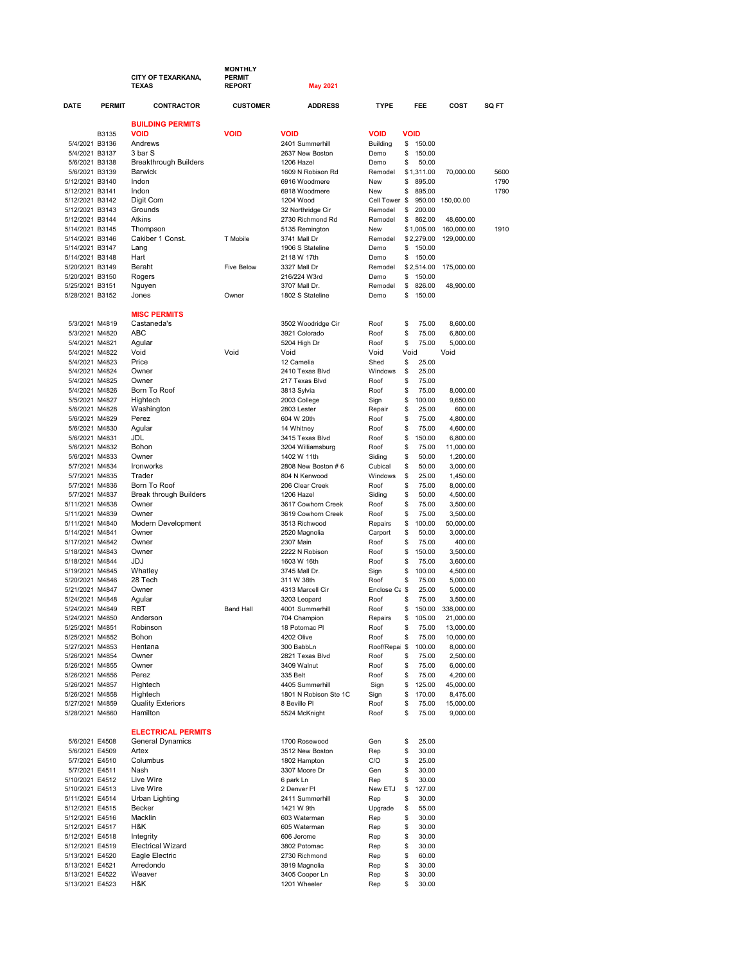|                                    |               | CITY OF TEXARKANA,<br><b>TEXAS</b>      | <b>MONTHLY</b><br><b>PERMIT</b><br><b>REPORT</b> | <b>May 2021</b>                          |                       |             |                      |                       |       |
|------------------------------------|---------------|-----------------------------------------|--------------------------------------------------|------------------------------------------|-----------------------|-------------|----------------------|-----------------------|-------|
| DATE                               | <b>PERMIT</b> | <b>CONTRACTOR</b>                       | <b>CUSTOMER</b>                                  | <b>ADDRESS</b>                           | <b>TYPE</b>           |             | FEE                  | COST                  | SQ FT |
|                                    |               | <b>BUILDING PERMITS</b>                 |                                                  |                                          |                       |             |                      |                       |       |
|                                    | B3135         | <b>VOID</b>                             | <b>VOID</b>                                      | <b>VOID</b>                              | <b>VOID</b>           | <b>VOID</b> |                      |                       |       |
| 5/4/2021 B3136                     |               | Andrews                                 |                                                  | 2401 Summerhill                          | <b>Building</b>       | \$          | 150.00               |                       |       |
| 5/4/2021 B3137                     |               | 3 bar S                                 |                                                  | 2637 New Boston                          | Demo                  | \$          | 150.00               |                       |       |
| 5/6/2021 B3138<br>5/6/2021 B3139   |               | <b>Breakthrough Builders</b><br>Barwick |                                                  | 1206 Hazel<br>1609 N Robison Rd          | Demo<br>Remodel       | \$          | 50.00<br>\$1,311.00  | 70,000.00             | 5600  |
| 5/12/2021 B3140                    |               | Indon                                   |                                                  | 6916 Woodmere                            | New                   | \$          | 895.00               |                       | 1790  |
| 5/12/2021 B3141                    |               | Indon                                   |                                                  | 6918 Woodmere                            | New                   | \$          | 895.00               |                       | 1790  |
| 5/12/2021 B3142                    |               | Digit Com                               |                                                  | 1204 Wood                                | Cell Tower \$         |             | 950.00               | 150.00.00             |       |
| 5/12/2021 B3143                    |               | Grounds                                 |                                                  | 32 Northridge Cir                        | Remodel               | \$          | 200.00               |                       |       |
| 5/12/2021 B3144                    |               | Atkins                                  |                                                  | 2730 Richmond Rd                         | Remodel               | \$          | 862.00               | 48,600.00             |       |
| 5/14/2021 B3145                    |               | Thompson                                |                                                  | 5135 Remington                           | New                   |             | \$1,005.00           | 160,000.00            | 1910  |
| 5/14/2021 B3146                    |               | Cakiber 1 Const.                        | T Mobile                                         | 3741 Mall Dr                             | Remodel               |             | \$2,279.00           | 129,000.00            |       |
| 5/14/2021 B3147                    |               | Lang<br>Hart                            |                                                  | 1906 S Stateline                         | Demo                  | \$          | 150.00               |                       |       |
| 5/14/2021 B3148<br>5/20/2021 B3149 |               | Beraht                                  | <b>Five Below</b>                                | 2118 W 17th<br>3327 Mall Dr              | Demo<br>Remodel       | \$          | 150.00<br>\$2,514.00 | 175,000.00            |       |
| 5/20/2021 B3150                    |               | Rogers                                  |                                                  | 216/224 W3rd                             | Demo                  | \$          | 150.00               |                       |       |
| 5/25/2021 B3151                    |               | Nguyen                                  |                                                  | 3707 Mall Dr.                            | Remodel               | \$          | 826.00               | 48,900.00             |       |
| 5/28/2021 B3152                    |               | Jones                                   | Owner                                            | 1802 S Stateline                         | Demo                  | \$          | 150.00               |                       |       |
|                                    |               |                                         |                                                  |                                          |                       |             |                      |                       |       |
|                                    |               | <b>MISC PERMITS</b>                     |                                                  |                                          |                       |             |                      |                       |       |
| 5/3/2021 M4819                     |               | Castaneda's                             |                                                  | 3502 Woodridge Cir                       | Roof                  | \$          | 75.00                | 8,600.00              |       |
| 5/3/2021 M4820                     |               | <b>ABC</b>                              |                                                  | 3921 Colorado                            | Roof                  | \$          | 75.00                | 6,800.00              |       |
| 5/4/2021 M4821                     |               | Agular                                  |                                                  | 5204 High Dr                             | Roof                  | \$          | 75.00                | 5,000.00              |       |
| 5/4/2021 M4822                     |               | Void                                    | Void                                             | Void                                     | Void                  | Void        |                      | Void                  |       |
| 5/4/2021 M4823                     |               | Price<br>Owner                          |                                                  | 12 Camelia                               | Shed                  | \$          | 25.00                |                       |       |
| 5/4/2021 M4824<br>5/4/2021 M4825   |               | Owner                                   |                                                  | 2410 Texas Blvd<br>217 Texas Blvd        | Windows<br>Roof       | \$<br>\$    | 25.00<br>75.00       |                       |       |
| 5/4/2021 M4826                     |               | Born To Roof                            |                                                  | 3813 Sylvia                              | Roof                  | \$          | 75.00                | 8,000.00              |       |
| 5/5/2021 M4827                     |               | Hightech                                |                                                  | 2003 College                             | Sign                  | \$          | 100.00               | 9,650.00              |       |
| 5/6/2021 M4828                     |               | Washington                              |                                                  | 2803 Lester                              | Repair                | \$          | 25.00                | 600.00                |       |
| 5/6/2021 M4829                     |               | Perez                                   |                                                  | 604 W 20th                               | Roof                  | \$          | 75.00                | 4,800.00              |       |
| 5/6/2021 M4830                     |               | Agular                                  |                                                  | 14 Whitney                               | Roof                  | \$          | 75.00                | 4,600.00              |       |
| 5/6/2021 M4831                     |               | <b>JDL</b>                              |                                                  | 3415 Texas Blvd                          | Roof                  | \$          | 150.00               | 6,800.00              |       |
| 5/6/2021 M4832                     |               | Bohon                                   |                                                  | 3204 Williamsburg                        | Roof                  | \$          | 75.00                | 11,000.00             |       |
| 5/6/2021 M4833                     |               | Owner                                   |                                                  | 1402 W 11th                              | Siding                | \$          | 50.00                | 1,200.00              |       |
| 5/7/2021 M4834                     |               | Ironworks                               |                                                  | 2808 New Boston # 6                      | Cubical               | \$          | 50.00                | 3,000.00              |       |
| 5/7/2021 M4835                     |               | Trader                                  |                                                  | 804 N Kenwood                            | Windows               | \$          | 25.00                | 1,450.00              |       |
| 5/7/2021 M4836<br>5/7/2021 M4837   |               | Born To Roof<br>Break through Builders  |                                                  | 206 Clear Creek<br>1206 Hazel            | Roof<br>Siding        | \$<br>\$    | 75.00<br>50.00       | 8,000.00<br>4,500.00  |       |
| 5/11/2021 M4838                    |               | Owner                                   |                                                  | 3617 Cowhorn Creek                       | Roof                  | \$          | 75.00                | 3,500.00              |       |
| 5/11/2021 M4839                    |               | Owner                                   |                                                  | 3619 Cowhorn Creek                       | Roof                  | \$          | 75.00                | 3,500.00              |       |
| 5/11/2021 M4840                    |               | Modern Development                      |                                                  | 3513 Richwood                            | Repairs               | \$          | 100.00               | 50,000.00             |       |
| 5/14/2021 M4841                    |               | Owner                                   |                                                  | 2520 Magnolia                            | Carport               | \$          | 50.00                | 3,000.00              |       |
| 5/17/2021 M4842                    |               | Owner                                   |                                                  | 2307 Main                                | Roof                  | \$          | 75.00                | 400.00                |       |
| 5/18/2021 M4843                    |               | Owner                                   |                                                  | 2222 N Robison                           | Roof                  | \$          | 150.00               | 3,500.00              |       |
| 5/18/2021 M4844                    |               | JDJ                                     |                                                  | 1603 W 16th                              | Roof                  | \$          | 75.00                | 3,600.00              |       |
| 5/19/2021 M4845                    |               | Whatley                                 |                                                  | 3745 Mall Dr.                            | Sign                  | \$          | 100.00               | 4,500.00              |       |
| 5/20/2021 M4846<br>5/21/2021 M4847 |               | 28 Tech<br>Owner                        |                                                  | 311 W 38th<br>4313 Marcell Cir           | Roof<br>Enclose Ca \$ | \$          | 75.00<br>25.00       | 5,000.00<br>5,000.00  |       |
| 5/24/2021 M4848                    |               | Agular                                  |                                                  | 3203 Leopard                             | Roof                  | \$          | 75.00                | 3,500.00              |       |
| 5/24/2021 M4849                    |               | RR I                                    | <b>Band Hall</b>                                 | 4001 Summerhill                          | Roof                  | \$          | 150.00               | 338,000.00            |       |
| 5/24/2021 M4850                    |               | Anderson                                |                                                  | 704 Champion                             | Repairs               | \$          | 105.00               | 21,000.00             |       |
| 5/25/2021 M4851                    |               | Robinson                                |                                                  | 18 Potomac PI                            | Roof                  | \$          | 75.00                | 13,000.00             |       |
| 5/25/2021 M4852                    |               | Bohon                                   |                                                  | 4202 Olive                               | Roof                  | \$          | 75.00                | 10,000.00             |       |
| 5/27/2021 M4853                    |               | Hentana                                 |                                                  | 300 BabbLn                               | Roof/Repai \$         |             | 100.00               | 8,000.00              |       |
| 5/26/2021 M4854                    |               | Owner                                   |                                                  | 2821 Texas Blvd                          | Roof                  | \$          | 75.00                | 2,500.00              |       |
| 5/26/2021 M4855                    |               | Owner                                   |                                                  | 3409 Walnut                              | Roof                  | \$          | 75.00                | 6,000.00              |       |
| 5/26/2021 M4856                    |               | Perez                                   |                                                  | 335 Belt                                 | Roof                  | \$          | 75.00                | 4,200.00              |       |
| 5/26/2021 M4857<br>5/26/2021 M4858 |               | Hightech<br>Hightech                    |                                                  | 4405 Summerhill<br>1801 N Robison Ste 1C | Sign<br>Sign          | \$<br>\$    | 125.00<br>170.00     | 45,000.00<br>8,475.00 |       |
| 5/27/2021 M4859                    |               | <b>Quality Exteriors</b>                |                                                  | 8 Beville Pl                             | Roof                  | \$          | 75.00                | 15,000.00             |       |
| 5/28/2021 M4860                    |               | Hamilton                                |                                                  | 5524 McKnight                            | Roof                  | \$          | 75.00                | 9,000.00              |       |
|                                    |               |                                         |                                                  |                                          |                       |             |                      |                       |       |
|                                    |               | <b>ELECTRICAL PERMITS</b>               |                                                  |                                          |                       |             |                      |                       |       |
| 5/6/2021 E4508                     |               | General Dynamics                        |                                                  | 1700 Rosewood                            | Gen                   | \$          | 25.00                |                       |       |
| 5/6/2021 E4509                     |               | Artex                                   |                                                  | 3512 New Boston                          | Rep                   | \$          | 30.00                |                       |       |
| 5/7/2021 E4510                     |               | Columbus                                |                                                  | 1802 Hampton                             | C/O                   | \$          | 25.00                |                       |       |
| 5/7/2021 E4511                     |               | Nash                                    |                                                  | 3307 Moore Dr                            | Gen                   | \$          | 30.00                |                       |       |
| 5/10/2021 E4512<br>5/10/2021 E4513 |               | Live Wire<br>Live Wire                  |                                                  | 6 park Ln<br>2 Denver PI                 | Rep<br>New ETJ        | \$<br>\$    | 30.00<br>127.00      |                       |       |
| 5/11/2021 E4514                    |               | Urban Lighting                          |                                                  | 2411 Summerhill                          | Rep                   | \$          | 30.00                |                       |       |
| 5/12/2021 E4515                    |               | Becker                                  |                                                  | 1421 W 9th                               | Upgrade               | \$          | 55.00                |                       |       |
| 5/12/2021 E4516                    |               | Macklin                                 |                                                  | 603 Waterman                             | Rep                   | \$          | 30.00                |                       |       |
| 5/12/2021 E4517                    |               | H&K                                     |                                                  | 605 Waterman                             | Rep                   | \$          | 30.00                |                       |       |
| 5/12/2021 E4518                    |               | Integrity                               |                                                  | 606 Jerome                               | Rep                   | \$          | 30.00                |                       |       |
| 5/12/2021 E4519                    |               | <b>Electrical Wizard</b>                |                                                  | 3802 Potomac                             | Rep                   | \$          | 30.00                |                       |       |
| 5/13/2021 E4520                    |               | Eagle Electric                          |                                                  | 2730 Richmond                            | Rep                   | \$          | 60.00                |                       |       |
| 5/13/2021 E4521                    |               | Arredondo                               |                                                  | 3919 Magnolia                            | Rep                   | \$          | 30.00                |                       |       |
| 5/13/2021 E4522                    |               | Weaver                                  |                                                  | 3405 Cooper Ln                           | Rep                   | \$          | 30.00                |                       |       |
| 5/13/2021 E4523                    |               | H&K                                     |                                                  | 1201 Wheeler                             | Rep                   | \$          | 30.00                |                       |       |